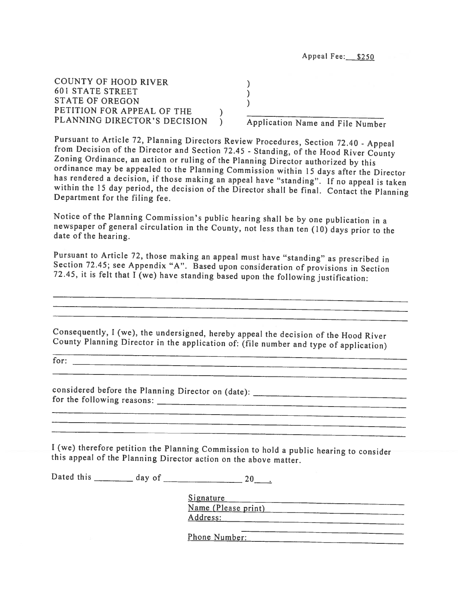COUNTY OF HOOD RIVER )<br>
601 STATE STREET )<br>
STATE OF OREGON )<br>
PETITION FOR APPEAL OF THE )<br>
PLANNING DIRECTOR'S DECISION ) A

Application Name and File Number

Pursuant to Article 72, Planning Directors Review Procedures, Section 72.40 - Appeal<br>from Decision of the Director and Section 72.45 - Standing, of the Hood River County<br>Zoning Ordinance, an action or ruling of the Plannin

Notice of the Planning Commission's public hearing shall be by one publication in <sup>a</sup> newspaper of general circulation in the County, not less than ten (10) days prior to the date of the hearing.

Pursuant to Article 72, those making an appeal must have "standing" as prescribed in Section 72.45; see Appendix "A". Based upon consideration of provisions in Section 72.45, it is felt that I (we) have standing based upon

Consequently, <sup>I</sup> (we), the undersigned, hereby appeal the decision of the Hood River County Planning Director in the application of: (file number and type of application)

for:

considered before the Planning Director on (date): \_\_\_\_\_\_\_\_\_\_\_\_\_\_\_\_\_\_\_\_\_\_\_\_\_\_\_\_\_\_ for the following reasons:

<sup>I</sup> (we) therefore petition the Planning Commission to hold <sup>a</sup> public hearing to consider this appeal of the Planning Director action on the above matter.

Dated this day of 20.

Signature Name (Please print) Address: 

Phone Number: